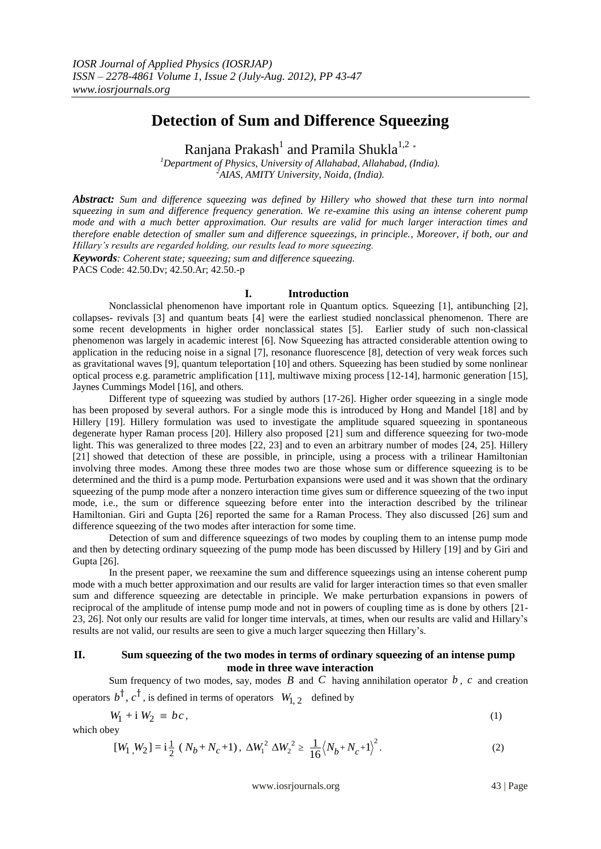# **Detection of Sum and Difference Squeezing**

Ranjana Prakash $^{\rm l}$  and Pramila Shukla $^{\rm l,2}$  \*

*<sup>1</sup>Department of Physics, University of Allahabad, Allahabad, (India). <sup>2</sup>AIAS, AMITY University, Noida, (India).*

*Abstract: Sum and difference squeezing was defined by Hillery who showed that these turn into normal squeezing in sum and difference frequency generation. We re-examine this using an intense coherent pump mode and with a much better approximation. Our results are valid for much larger interaction times and therefore enable detection of smaller sum and difference squeezings, in principle., Moreover, if both, our and Hillary's results are regarded holding, our results lead to more squeezing.*

*Keywords: Coherent state; squeezing; sum and difference squeezing.* PACS Code: 42.50.Dv; 42.50.Ar; 42.50.-p

#### **I. Introduction**

Nonclassiclal phenomenon have important role in Quantum optics. Squeezing [1], antibunching [2], collapses- revivals [3] and quantum beats [4] were the earliest studied nonclassical phenomenon. There are some recent developments in higher order nonclassical states [5]. Earlier study of such non-classical phenomenon was largely in academic interest [6]. Now Squeezing has attracted considerable attention owing to application in the reducing noise in a signal [7], resonance fluorescence [8], detection of very weak forces such as gravitational waves [9], quantum teleportation [10] and others. Squeezing has been studied by some nonlinear optical process e.g. parametric amplification [11], multiwave mixing process [12-14], harmonic generation [15], Jaynes Cummings Model [16], and others.

Different type of squeezing was studied by authors [17-26]. Higher order squeezing in a single mode has been proposed by several authors. For a single mode this is introduced by Hong and Mandel [18] and by Hillery [19]. Hillery formulation was used to investigate the amplitude squared squeezing in spontaneous degenerate hyper Raman process [20]. Hillery also proposed [21] sum and difference squeezing for two-mode light. This was generalized to three modes [22, 23] and to even an arbitrary number of modes [24, 25]. Hillery [21] showed that detection of these are possible, in principle, using a process with a trilinear Hamiltonian involving three modes. Among these three modes two are those whose sum or difference squeezing is to be determined and the third is a pump mode. Perturbation expansions were used and it was shown that the ordinary squeezing of the pump mode after a nonzero interaction time gives sum or difference squeezing of the two input mode, i.e., the sum or difference squeezing before enter into the interaction described by the trilinear Hamiltonian. Giri and Gupta [26] reported the same for a Raman Process. They also discussed [26] sum and difference squeezing of the two modes after interaction for some time.

Detection of sum and difference squeezings of two modes by coupling them to an intense pump mode and then by detecting ordinary squeezing of the pump mode has been discussed by Hillery [19] and by Giri and Gupta [26].

In the present paper, we reexamine the sum and difference squeezings using an intense coherent pump mode with a much better approximation and our results are valid for larger interaction times so that even smaller sum and difference squeezing are detectable in principle. We make perturbation expansions in powers of reciprocal of the amplitude of intense pump mode and not in powers of coupling time as is done by others [21- 23, 26]. Not only our results are valid for longer time intervals, at times, when our results are valid and Hillary's results are not valid, our results are seen to give a much larger squeezing then Hillary's.

### **II. Sum squeezing of the two modes in terms of ordinary squeezing of an intense pump mode in three wave interaction**

Sum frequency of two modes, say, modes  $\hat{B}$  and  $\hat{C}$  having annihilation operator  $\hat{b}$ ,  $\hat{c}$  and creation operators  $b^{\dagger}$ ,  $c^{\dagger}$ , is defined in terms of operators  $W_{1, 2}$  defined by

$$
W_1 + i W_2 \equiv bc \,, \tag{1}
$$

which obey

$$
[W_1, W_2] = \mathbf{i} \frac{1}{2} (N_b + N_c + 1), \ \Delta W_1^2 \ \Delta W_2^2 \ge \frac{1}{16} (N_b + N_c + 1)^2.
$$
 (2)

www.iosrjournals.org 43 | Page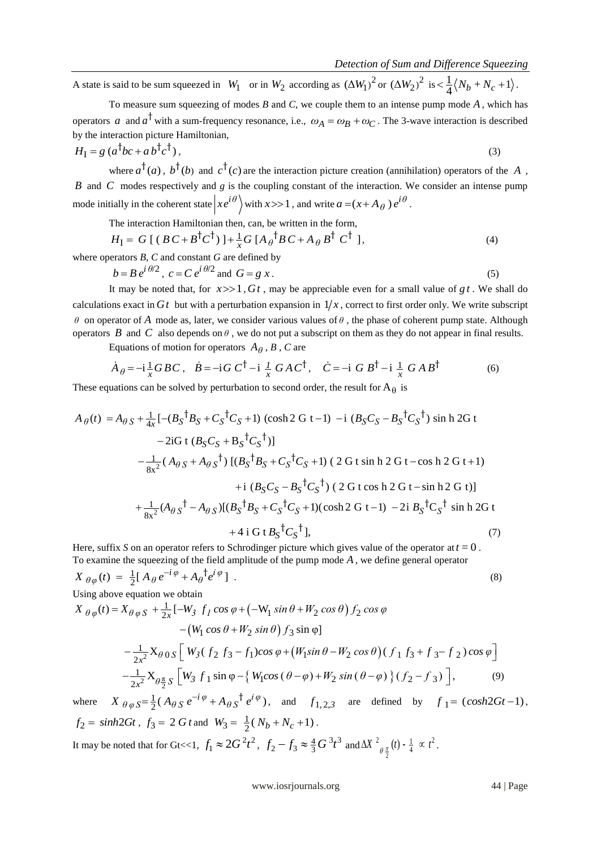A state is said to be sum squeezed in  $W_1$  or in  $W_2$  according as  $(\Delta W_1)^2$  or  $(\Delta W_2)^2$  is  $\langle \frac{1}{4} (N_b + N_c + 1) \rangle$ .

To measure sum squeezing of modes *B* and *C*, we couple them to an intense pump mode *A* , which has operators a and  $a^{\dagger}$  with a sum-frequency resonance, i.e.,  $\omega_A = \omega_B + \omega_C$ . The 3-wave interaction is described by the interaction picture Hamiltonian,

$$
H_{\rm I} = g \left( a^{\dagger} b c + a b^{\dagger} c^{\dagger} \right),\tag{3}
$$

where  $a^{\dagger}(a)$ ,  $b^{\dagger}(b)$  and  $c^{\dagger}(c)$  are the interaction picture creation (annihilation) operators of the A, *B* and *C* modes respectively and *g* is the coupling constant of the interaction. We consider an intense pump mode initially in the coherent state  $\left| xe^{i\theta} \right\rangle$  with  $x \gg 1$ , and write  $a = (x + A_{\theta}) e^{i\theta}$ .

The interaction Hamiltonian then, can, be written in the form,

The interaction Hamiltonian then, can, be written in the form,  
\n
$$
H_{\text{I}} = G[(BC + B^{\dagger}C^{\dagger})] + \frac{1}{x}G[A_{\theta}^{\dagger}BC + A_{\theta}B^{\dagger}C^{\dagger}],
$$
\n(4)

where operators *B*, *C* and constant *G* are defined by

$$
b = Be^{i\theta/2}, \ c = Ce^{i\theta/2} \text{ and } G = g x. \tag{5}
$$

It may be noted that, for  $x \gg 1$ ,  $Gt$ , may be appreciable even for a small value of  $gt$ . We shall do calculations exact in  $Gt$  but with a perturbation expansion in  $1/x$ , correct to first order only. We write subscript *θ* on operator of *A* mode as, later, we consider various values of *θ* , the phase of coherent pump state. Although operators  $B$  and  $C$  also depends on  $\theta$ , we do not put a subscript on them as they do not appear in final results.

Equations of motion for operators  $A_{\theta}$ ,  $B$ ,  $C$  are

$$
\dot{A}_{\theta} = -i\frac{1}{x}GBC, \quad \dot{B} = -iG C^{\dagger} - i\frac{1}{x}GAC^{\dagger}, \quad \dot{C} = -iG B^{\dagger} - i\frac{1}{x}GAB^{\dagger}
$$
\n(6)

\nuations can be solved by perturbation to second order, the result for  $A_{\theta}$  is

\n
$$
= A_{\theta S} + \frac{1}{4x}[-(B_{S}^{\dagger}B_{S} + C_{S}^{\dagger}C_{S} + 1) \text{ (cosh 2 G t - 1)} - i(B_{S}C_{S} - B_{S}^{\dagger}C_{S}^{\dagger}) \sinh 2G t
$$

These equations can be solved by perturbation to second order, the result for  $A_{\theta}$  is

$$
\dot{A}_{\theta} = -i\frac{1}{x}GBC, \quad \dot{B} = -iG C^{\dagger} - i\frac{1}{x}GAC^{\dagger}, \quad \dot{C} = -iG B^{\dagger} - i\frac{1}{x}GAB^{\dagger}
$$
\n(6)  
\nThese equations can be solved by perturbation to second order, the result for  $A_{\theta}$  is  
\n
$$
A_{\theta}(t) = A_{\theta S} + \frac{1}{4x}[-(B_{S}^{\dagger}B_{S} + C_{S}^{\dagger}C_{S} + 1)(\cosh 2 G t - 1) - i(B_{S}C_{S} - B_{S}^{\dagger}C_{S}^{\dagger})\sinh 2G t
$$
\n
$$
- 2iG t (B_{S}C_{S} + B_{S}^{\dagger}C_{S}^{\dagger})]
$$
\n
$$
- \frac{1}{8x^{2}} (A_{\theta S} + A_{\theta S}^{\dagger}) [(B_{S}^{\dagger}B_{S} + C_{S}^{\dagger}C_{S} + 1)(2 G t \sinh 2 G t - \cosh 2 G t + 1) + i(B_{S}C_{S} - B_{S}^{\dagger}C_{S}^{\dagger}) (2 G t \cosh 2 G t - \sinh 2 G t)]
$$
\n
$$
+ \frac{1}{8x^{2}} (A_{\theta S}^{\dagger} - A_{\theta S}) [(B_{S}^{\dagger}B_{S} + C_{S}^{\dagger}C_{S} + 1)(\cosh 2 G t - 1) - 2i B_{S}^{\dagger}C_{S}^{\dagger} \sinh 2G t + 4i G t B_{S}^{\dagger}C_{S}^{\dagger}], \qquad (7)
$$

Here, suffix *S* on an operator refers to Schrodinger picture which gives value of the operator at  $t=0$ .

$$
X_{\theta\varphi}(t) = \frac{1}{2} [A_{\theta} e^{-i\varphi} + A_{\theta}^{\dagger} e^{i\varphi}] \tag{8}
$$

Using above equation we obtain

To examine the squeezing of the field amplitude of the pump mode *A*, we define general operator  
\n
$$
X_{\theta\varphi}(t) = \frac{1}{2} [A_{\theta} e^{-i\varphi} + A_{\theta}^{\dagger} e^{i\varphi}]
$$
\n
$$
= \frac{1}{2} [A_{\theta} e^{-i\varphi} + A_{\theta}^{\dagger} e^{i\varphi}]
$$
\n
$$
= \frac{1}{2} [A_{\theta} e^{-i\varphi} + A_{\theta}^{\dagger} e^{i\varphi}]
$$
\n
$$
= \frac{1}{2} [A_{\theta} e^{-i\varphi} + A_{\theta}^{\dagger} e^{i\varphi}]
$$
\n
$$
= \frac{1}{2\pi^2} [A_{\theta} e^{-i\varphi} + A_{\theta} e^{-i\varphi}]
$$
\n
$$
= \frac{1}{2\pi^2} [A_{\theta} e^{-i\varphi} + A_{\theta} e^{-i\varphi}]
$$
\n
$$
= \frac{1}{2\pi^2} X_{\theta} \frac{1}{2} [B_{\theta} e^{-i\varphi}]
$$
\n
$$
= \frac{1}{2\pi^2} X_{\theta} \frac{1}{2} [B_{\theta} e^{-i\varphi}]
$$
\n
$$
= \frac{1}{2\pi^2} X_{\theta} \frac{1}{2} [B_{\theta} e^{-i\varphi}]
$$
\n
$$
= \frac{1}{2\pi^2} [B_{\theta} e^{-i\varphi}]
$$
\n
$$
= \frac{1}{2\pi^2} [B_{\theta} e^{-i\varphi}]
$$
\n
$$
= \frac{1}{2\pi^2} [B_{\theta} e^{-i\varphi}]
$$
\n
$$
= \frac{1}{2\pi^2} [B_{\theta} e^{-i\varphi}]
$$
\n
$$
= \frac{1}{2\pi^2} [B_{\theta} e^{-i\varphi}]
$$
\n
$$
= \frac{1}{2\pi^2} [B_{\theta} e^{-i\varphi}]
$$
\n
$$
= \frac{1}{2\pi^2} [B_{\theta} e^{-i\varphi}]
$$
\n
$$
= \frac{1}{2\pi^2} [B_{\theta} e^{-i\varphi}]
$$
\n
$$
= \frac{1}{2\pi^2
$$

where  $X_{\theta \varphi S} = \frac{1}{2}$  $X \theta \varphi S = \frac{1}{2} (A \theta S e^{-i \varphi} + A \theta S^{\dagger} e^{i \varphi}),$  $=\frac{1}{2}(A_{\theta S}e^{-i\varphi}+A_{\theta S}^{\dagger}e^{i\varphi})$ , and  $f_{1,2,3}$  are defined by  $f_1 = (cosh2Gt-1)$ ,  $f_2 = \sinh 2Gt$ ,  $f_3 = 2 G t$  and  $W_3 = \frac{1}{2}(N_b + N_c + 1)$ .

It may be noted that for Gt<<1,  $f_1 \approx 2G^2t^2$  $f_1 \approx 2G^2 t^2$ ,  $f_2 - f_3 \approx \frac{4}{3} G^3 t^3$  $f_2 - f_3 \approx \frac{4}{3} G^3 t^3$  and 2  $\Delta X$   $^{2}_{\theta \frac{\pi}{2}}(t) - \frac{1}{4} \propto t^{2}$ .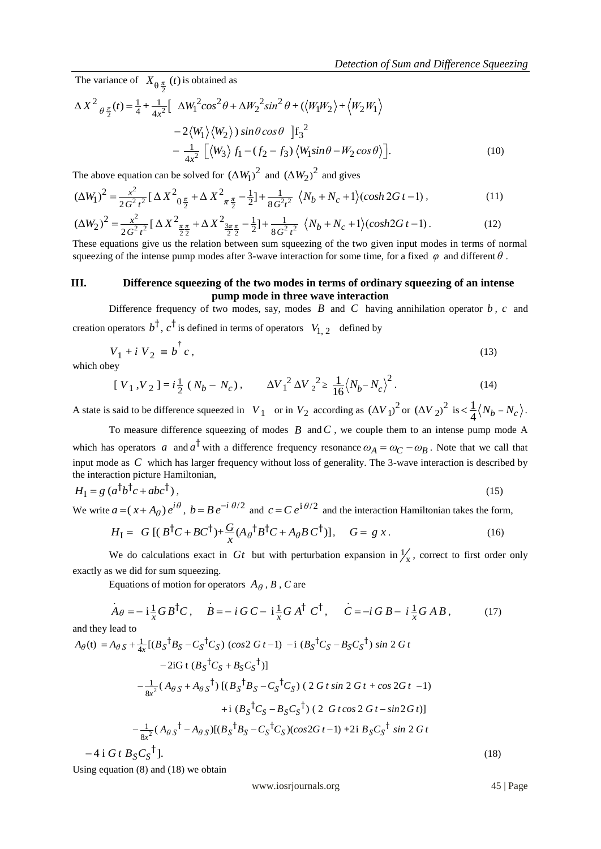The variance of  $X_{\theta \frac{\pi}{2}}(t)$  is obtained as

*Detection of Sum and Difference Squee*  
\nThe variance of 
$$
X_{\theta \frac{\pi}{2}}(t)
$$
 is obtained as  
\n
$$
\Delta X^2_{\theta \frac{\pi}{2}}(t) = \frac{1}{4} + \frac{1}{4x^2} \left[ \Delta W_1^2 \cos^2 \theta + \Delta W_2^2 \sin^2 \theta + (\langle W_1 W_2 \rangle + \langle W_2 W_1 \rangle - 2 \langle W_1 \rangle \langle W_2 \rangle) \sin \theta \cos \theta \right] f_3^2 - \frac{1}{4x^2} \left[ \langle W_3 \rangle f_1 - (f_2 - f_3) \langle W_1 \sin \theta - W_2 \cos \theta \rangle \right].
$$
\n(10)

$$
4x^2 \left[\sqrt{3/2} \cdot 35\right] \left(\sqrt{1-2} \cdot 3.25\right] \left(\sqrt{1-2} \cdot 3.25\right) \left(\sqrt{1-2} \cdot 3.25\right) \left(\sqrt{1-2} \cdot 3.25\right) \left(\sqrt{1-2} \cdot 3.25\right) \left(\sqrt{1-2} \cdot 3.25\right) \left(\sqrt{1-2} \cdot 3.25\right) \left(\sqrt{1-2} \cdot 3.25\right) \left(\sqrt{1-2} \cdot 3.25\right) \left(\sqrt{1-2} \cdot 3.25\right) \left(\sqrt{1-2} \cdot 3.25\right) \left(\sqrt{1-2} \cdot 3.25\right) \left(\sqrt{1-2} \cdot 3.25\right) \left(\sqrt{1-2} \cdot 3.25\right) \left(\sqrt{1-2} \cdot 3.25\right) \left(\sqrt{1-2} \cdot 3.25\right) \left(\sqrt{1-2} \cdot 3.25\right) \left(\sqrt{1-2} \cdot 3.25\right) \left(\sqrt{1-2} \cdot 3.25\right) \left(\sqrt{1-2} \cdot 3.25\right) \left(\sqrt{1-2} \cdot 3.25\right) \left(\sqrt{1-2} \cdot 3.25\right) \left(\sqrt{1-2} \cdot 3.25\right) \left(\sqrt{1-2} \cdot 3.25\right) \left(\sqrt{1-2} \cdot 3.25\right) \left(\sqrt{1-2} \cdot 3.25\right) \left(\sqrt{1-2} \cdot 3.25\right) \left(\sqrt{1-2} \cdot 3.25\right) \left(\sqrt{1-2} \cdot 3.25\right) \left(\sqrt{1-2} \cdot 3.25\right) \left(\sqrt{1-2} \cdot 3.25\right) \left(\sqrt{1-2} \cdot 3.25\right) \left(\sqrt{1-2} \cdot 3.25\right) \left(\sqrt{1-2} \cdot 3.25\right) \left(\sqrt{1-2} \cdot 3.25\right) \left(\sqrt{1-2} \cdot 3.25\right) \left(\sqrt{1-2} \cdot 3.25\right) \left(\sqrt{1-2} \cdot 3.25\right) \left(\sqrt{1-2} \cdot 3.25
$$

$$
(\Delta W_1)^2 = \frac{x}{2G^2t^2} \left[ \Delta X^2 \frac{\pi}{2} + \Delta X^2 \frac{\pi}{2} - \frac{1}{2} \right] + \frac{1}{8G^2t^2} \left\langle N_b + N_c + 1 \right\rangle \left(\cosh 2Gt - 1\right),\tag{11}
$$
\n
$$
(\Delta W_2)^2 = \frac{x^2}{2G^2t^2} \left[ \Delta X^2 \frac{\pi}{2} + \Delta X^2 \frac{\pi}{2} - \frac{1}{2} \right] + \frac{1}{8G^2t^2} \left\langle N_b + N_c + 1 \right\rangle \left(\cosh 2Gt - 1\right).
$$
\n
$$
\text{These equations give us the relation between sum squeezing of the two given input modes in terms of normal}
$$

squeezing of the intense pump modes after 3-wave interaction for some time, for a fixed  $\varphi$  and different  $\theta$ .

## **III. Difference squeezing of the two modes in terms of ordinary squeezing of an intense pump mode in three wave interaction**

Difference frequency of two modes, say, modes  $B$  and  $C$  having annihilation operator  $b$ ,  $c$  and creation operators  $b^{\dagger}$ ,  $c^{\dagger}$  is defined in terms of operators  $V_{1, 2}$  defined by

$$
V_1 + i V_2 \equiv b^{\dagger} c, \qquad (13)
$$

which obey

$$
[V_1, V_2] = i\frac{1}{2}(N_b - N_c), \qquad \Delta V_1^2 \Delta V_2^2 \ge \frac{1}{16}(N_b - N_c)^2.
$$
 (14)

A state is said to be difference squeezed in  $V_1$  or in  $V_2$  according as  $(\Delta V_1)^2$  or  $(\Delta V_2)^2$  is  $\lt \frac{1}{4}$  $\langle \frac{1}{4} \langle N_b - N_c \rangle$ .

To measure difference squeezing of modes  $B$  and  $C$ , we couple them to an intense pump mode A which has operators a and  $a^{\dagger}$  with a difference frequency resonance  $\omega_A = \omega_C - \omega_B$ . Note that we call that input mode as *C* which has larger frequency without loss of generality. The 3-wave interaction is described by the interaction picture Hamiltonian,

$$
H_{\rm I} = g \left( a^{\dagger} b^{\dagger} c + a b c^{\dagger} \right),\tag{15}
$$

We write 
$$
a = (x + A_{\theta}) e^{i\theta}
$$
,  $b = Be^{-i\theta/2}$  and  $c = Ce^{i\theta/2}$  and the interaction Hamiltonian takes the form,  
\n
$$
H_{I} = G [(B^{\dagger}C + BC^{\dagger}) + \frac{G}{x} (A_{\theta}^{\dagger} B^{\dagger} C + A_{\theta} B C^{\dagger})], \quad G = g x.
$$
\n(16)

We do calculations exact in  $G_t$  but with perturbation expansion in  $\frac{1}{x}$ , correct to first order only exactly as we did for sum squeezing.

Equations of motion for operators  $A_{\theta}$ ,  $B$ ,  $C$  are

$$
\dot{A}\theta = -i\frac{1}{x}GB^{\dagger}C, \quad \dot{B} = -i\,G\,C - i\frac{1}{x}G\,A^{\dagger}\,C^{\dagger}, \quad \dot{C} = -i\,G\,B - i\frac{1}{x}G\,A\,B, \tag{17}
$$
\nand they lead to

\n
$$
A_{\theta}(\mathbf{t}) = A_{\theta S} + \frac{1}{4x}[(B_{S}^{\dagger}B_{S} - C_{S}^{\dagger}C_{S})\,(\cos 2\,G\,t - 1) - i\,(B_{S}^{\dagger}C_{S} - B_{S}C_{S}^{\dagger})\sin 2\,G\,t
$$

and they lead to

 $\frac{1}{x^2}$ 1  $A_{\theta}$ (t) =  $A_{\theta S} + \frac{1}{4x}[(B_{S} \cdot B_{S} - C_{S} \cdot C_{S}) (\cos 2 G t - 1) -1 (B_{S} \cdot C_{S} - B_{S} C_{S} \cdot) \sin 2 G t$ <br>-2iG t  $(B_{S} \cdot C_{S} + B_{S} C_{S} \cdot)$ ]<br> $-\frac{1}{8x^{2}} (A_{\theta S} + A_{\theta S} \cdot) [(B_{S} \cdot B_{S} - C_{S} \cdot C_{S}) (2 G t \sin 2 G t + \cos 2 G t - 1)]$  $-2iG$  t  $(B_S^{\dagger}C_S + B_S C_S^{\dagger})$ ]  $B_S^{\dagger} B_S - C_S^{\dagger} C_S$  (cos2 G t -1)<br>-2iG t  $(B_S^{\dagger} C_S + B_S C_S^{\dagger})$ ] *d* they lead to<br>  $\theta(t) = A_{\theta S} + \frac{1}{4x} [(B_S^{\dagger} B_S - C_S^{\dagger} C_S) (\cos 2 G t - 1) - i (B_S^{\dagger} C_S - B_S C_S^{\dagger}) \sin 2 G$  $S^{t}C_{S}$  (cos2 b)<br> $S^{t}C_{S} + B_{S}C_{S}$  $C_S^{\dagger}C_S$ ) (cos2<br> $B_S^{\dagger}C_S + B_S C$  ${}^{t}C_{S}$ ) (cos2 G t -1) -i<br> ${}^{t}C_{S}$  + B<sub>S</sub>C<sub>S</sub><sup>†</sup>)]  $\frac{1}{x^2}$  $8x^2 + 14y^2 + 14y^2 + 18y^3 + 18y^2 + 18y^3 + 18y^2 + 18y^3 + 18y^2 + 18y^3 + 18y^2 + 18y^3 + 18y^2 + 18y^2 + 18y^3 + 18y^2 + 18y^2 + 18y^2 + 18y^3 + 18y^2 + 18y^2 + 18y^2 + 18y^2 + 18y^2 + 18y^2 + 18y^2 + 18y^2 + 18y^2 + 18y^2 + 18y^2 + 18y^2 + 18y^$  $-\frac{1}{8x^2}(A_{\theta S}+A_{\theta S}^{\dagger})[(B_S^{\dagger}B_S-C_S^{\dagger}C_S) (2 G t \sin 2 G t + \cos 2 G t -1  
+i (B_S^{\dagger}C_S-B_S C_S^{\dagger}) (2 G t \cos 2 G t - \sin 2 G t)]$  $\overline{\phantom{0}}$  $[(B_S^{\dagger}B_S - C_S^{\dagger}C_S) (2 G t \sin 2 G t + \cos 2G t -1)$ <br>+i  $(B_S^{\dagger}C_S - B_S C_S^{\dagger}) (2 G t \cos 2 G t - \sin 2G t)]$  $+ i (B_S^{\dagger} C_S - B_S C_S^{\dagger}) (2 G t \cos 2 G t - \sin 2 G t)$ *cos G t*  $B_S^{-1}B_S - C_S^{-1}C_S$ ) (2 G t sin 2 G t + cos 2G t -<br>  $B_S^{-1}C_S - B_S C_S^{-1}$ ) (2 G t cos 2 G t - sin 2G t  $-4$  i *G* t  $B_S C_S^{\dagger}$ ]. (18)

Using equation (8) and (18) we obtain

www.iosrjournals.org 45 | Page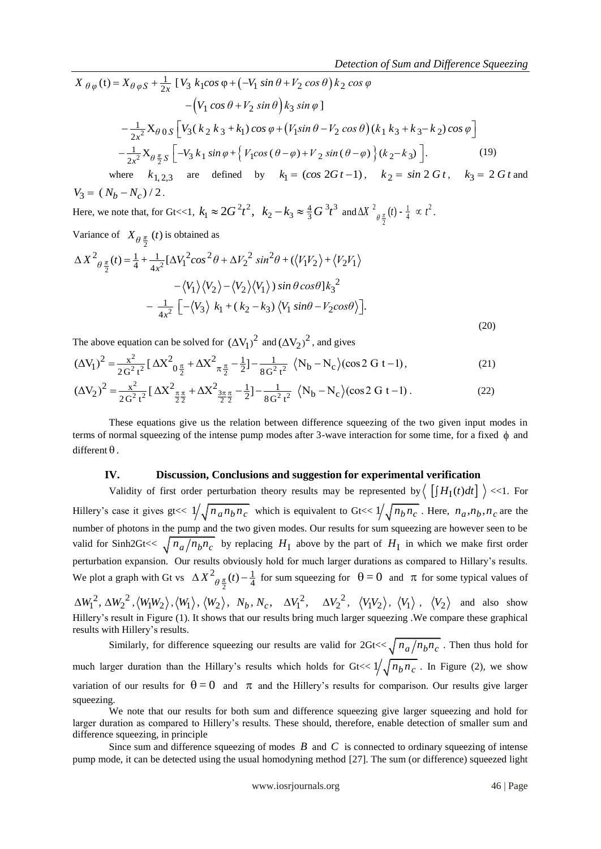$$
A_{\theta\varphi}(t) = X_{\theta\varphi S} + \frac{1}{2x} \left[ V_3 k_1 \cos \varphi + \left( -V_1 \sin \theta + V_2 \cos \theta \right) k_2 \cos \varphi \right]
$$
  
\n
$$
- \left( V_1 \cos \theta + V_2 \sin \theta \right) k_3 \sin \varphi \left[ V_3 (k_2 k_3 + k_1) \cos \varphi + \left( V_1 \sin \theta - V_2 \cos \theta \right) (k_1 k_3 + k_3 - k_2) \cos \varphi \right]
$$
  
\n
$$
- \frac{1}{2x^2} X_{\theta \frac{\pi}{2} S} \left[ -V_3 k_1 \sin \varphi + \left\{ V_1 \cos (\theta - \varphi) + V_2 \sin (\theta - \varphi) \right\} (k_2 - k_3) \right].
$$
  
\nwhere  $k_1 \cos \varphi$  are defined by  $k_2 = (\cos 2Gt - 1) - k_2 = \sin 2Gt - k_3 = 2Gt$  and

where  $k_{1, 2, 3}$  are defined by  $k_1 = (\cos 2G t - 1)$ ,  $k_2 = \sin 2G t$ ,  $k_3 = 2G t$  and  $V_3 = (N_b - N_c) / 2$ .

Here, we note that, for Gt <<1,  $k_1 \approx 2G^2 t^2$ ,  $k_2 - k_3 \approx \frac{4}{3} G^3 t^3$  $k_1 \approx 2G^2 t^2$ ,  $k_2 - k_3 \approx \frac{4}{3} G^3 t^3$  and  $\Delta X^2_{\theta \frac{\pi}{2}}(t) - \frac{1}{4} \propto t^2$ . 2

Variance of 
$$
X_{\theta \frac{\pi}{2}}(t)
$$
 is obtained as

Variance of 
$$
X_{\theta \frac{\pi}{2}}(t)
$$
 is obtained as  
\n
$$
\Delta X^2_{\theta \frac{\pi}{2}}(t) = \frac{1}{4} + \frac{1}{4x^2} [\Delta V_1^2 \cos^2 \theta + \Delta V_2^2 \sin^2 \theta + (\langle V_1 V_2 \rangle + \langle V_2 V_1 \rangle - \langle V_1 \rangle \langle V_2 \rangle - \langle V_2 \rangle \langle V_1 \rangle) \sin \theta \cos \theta] k_3^2
$$
\n
$$
- \frac{1}{4x^2} \left[ -\langle V_3 \rangle k_1 + (k_2 - k_3) \langle V_1 \sin \theta - V_2 \cos \theta \rangle \right].
$$
\n(20)

(20)  
\nThe above equation can be solved for 
$$
(\Delta V_1)^2
$$
 and  $(\Delta V_2)^2$ , and gives  
\n
$$
(\Delta V_1)^2 = \frac{x^2}{2G^2 t^2} [\Delta X^2_{0\frac{\pi}{2}} + \Delta X^2_{\frac{\pi}{2}} - \frac{1}{2}] - \frac{1}{8G^2 t^2} \langle N_b - N_c \rangle (\cos 2 G t - 1),
$$
\n
$$
(\Delta V_2)^2 = \frac{x^2}{2G^2 t^2} [\Delta X^2_{\frac{\pi}{2}\frac{\pi}{2}} + \Delta X^2_{\frac{3\pi}{2}\frac{\pi}{2}} - \frac{1}{2}] - \frac{1}{8G^2 t^2} \langle N_b - N_c \rangle (\cos 2 G t - 1).
$$
\n(22)

$$
(\Delta V_1) = \frac{1}{2G^2 t^2} [\Delta X_{0\frac{\pi}{2}} + \Delta X_{\pi\frac{\pi}{2}} - \frac{1}{2}] - \frac{1}{8G^2 t^2} \langle N_b - N_c \rangle (\cos 2 G t - 1),
$$
\n
$$
(\Delta V_2)^2 = \frac{x^2}{2G^2 t^2} [\Delta X_{\frac{\pi\pi}{2}}^2 + \Delta X_{\frac{3\pi\pi}{2}}^2 - \frac{1}{2}] - \frac{1}{8G^2 t^2} \langle N_b - N_c \rangle (\cos 2 G t - 1).
$$
\n(22)

These equations give us the relation between difference squeezing of the two given input modes in terms of normal squeezing of the intense pump modes after 3-wave interaction for some time, for a fixed  $\phi$  and  $d$ ifferent  $\theta$ .

#### **IV. Discussion, Conclusions and suggestion for experimental verification**

 $(-V_1 \sin \theta + V_2 \cos \theta) k_2 \cos \varphi$ <br>  $-V_2 \sin \theta) k_3 \sin \varphi$ <br>  $W_1 \cos \varphi + (V_1 \sin \theta - V_2 \cos \theta) (k_1 k_3 + k_3 - k_2) \cos \varphi$ <br>  $W_1 \cos \varphi + (V_1 \sin \theta - V_2 \cos \theta) (k_1 k_3 + k_3 - k_2) \cos \varphi$ <br>  $+ V_1 \sin \theta - V_2 \cos \theta + (k_1 k_3 - k_3)$ <br>  $W_2 \cos \theta + (k_1 k_3 - k_2 k_3 - k_1 k_3 - k_1 k_3$ Validity of first order perturbation theory results may be represented by  $\left( \int H_1(t) dt \right)$   $\leq$  1. For Hillery's case it gives gt<<  $1/\sqrt{n_a n_b n_c}$  which is equivalent to Gt<<  $1/\sqrt{n_b n_c}$ . Here,  $n_a, n_b, n_c$  are the number of photons in the pump and the two given modes. Our results for sum squeezing are however seen to be valid for Sinh2Gt<<  $\sqrt{n_a/n_b n_c}$  by replacing  $H_I$  above by the part of  $H_I$  in which we make first order perturbation expansion. Our results obviously hold for much larger durations as compared to Hillary's results. We plot a graph with Gt vs 2 2  $(t)$   $\frac{1}{2}$  $\Delta X^2_{\theta \frac{\pi}{2}}(t) - \frac{1}{4}$  for sum squeezing for  $\theta = 0$  and  $\pi$  for some typical values of  $\Delta W_1^2$ ,  $\Delta W_2^2$ ,  $\langle W_1 W_2 \rangle$ ,  $\langle W_1 \rangle$ ,  $\langle W_2 \rangle$ ,  $N_b$ ,  $N_c$ ,  $\Delta V_1^2$ ,  $\Delta V_2^2$ ,  $\langle V_1 V_2 \rangle$ ,  $\langle V_1 \rangle$ ,  $\langle V_2 \rangle$  and also show Hillery's result in Figure (1). It shows that our results bring much larger squeezing .We compare these graphical results with Hillery's results.

Similarly, for difference squeezing our results are valid for  $2Gt << \sqrt{n_a/n_b n_c}$ . Then thus hold for much larger duration than the Hillary's results which holds for  $Gt \ll 1/\sqrt{n_b n_c}$ . In Figure (2), we show variation of our results for  $\theta = 0$  and  $\pi$  and the Hillery's results for comparison. Our results give larger squeezing.

We note that our results for both sum and difference squeezing give larger squeezing and hold for larger duration as compared to Hillery's results. These should, therefore, enable detection of smaller sum and difference squeezing, in principle

Since sum and difference squeezing of modes  $B$  and  $C$  is connected to ordinary squeezing of intense pump mode, it can be detected using the usual homodyning method [27]. The sum (or difference) squeezed light